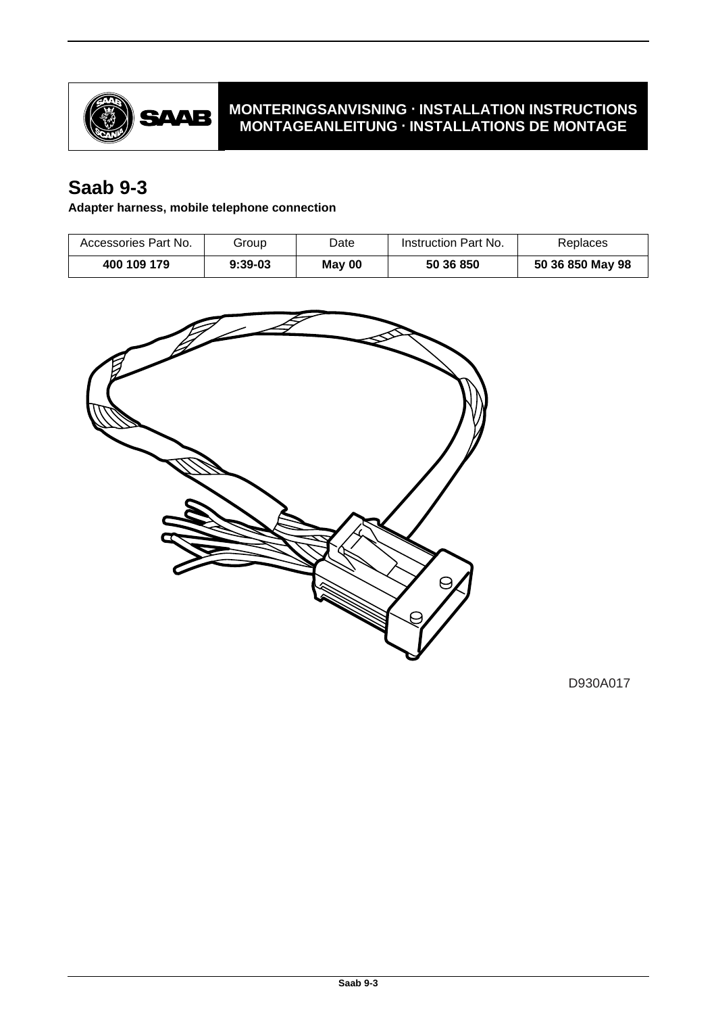

## **MONTERINGSANVISNING · INSTALLATION INSTRUCTIONS MONTAGEANLEITUNG · INSTALLATIONS DE MONTAGE**

# **Saab 9-3**

**Adapter harness, mobile telephone connection**

| Accessories Part No. | Group     | Date   | Instruction Part No. | Replaces         |
|----------------------|-----------|--------|----------------------|------------------|
| 400 109 179          | $9:39-03$ | May 00 | 50 36 850            | 50 36 850 May 98 |



D930A017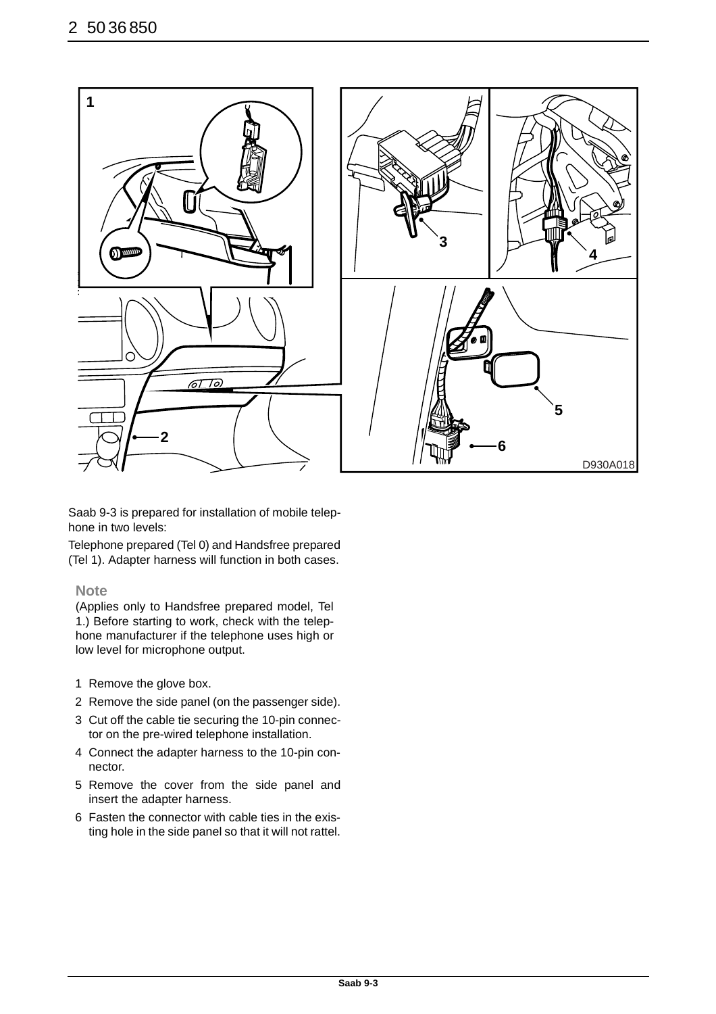

Saab 9-3 is prepared for installation of mobile telephone in two levels:

Telephone prepared (Tel 0) and Handsfree prepared (Tel 1). Adapter harness will function in both cases.

#### **Note**

(Applies only to Handsfree prepared model, Tel 1.) Before starting to work, check with the telephone manufacturer if the telephone uses high or low level for microphone output.

- 1 Remove the glove box.
- 2 Remove the side panel (on the passenger side).
- 3 Cut off the cable tie securing the 10-pin connector on the pre-wired telephone installation.
- 4 Connect the adapter harness to the 10-pin connector.
- 5 Remove the cover from the side panel and insert the adapter harness.
- 6 Fasten the connector with cable ties in the existing hole in the side panel so that it will not rattel.